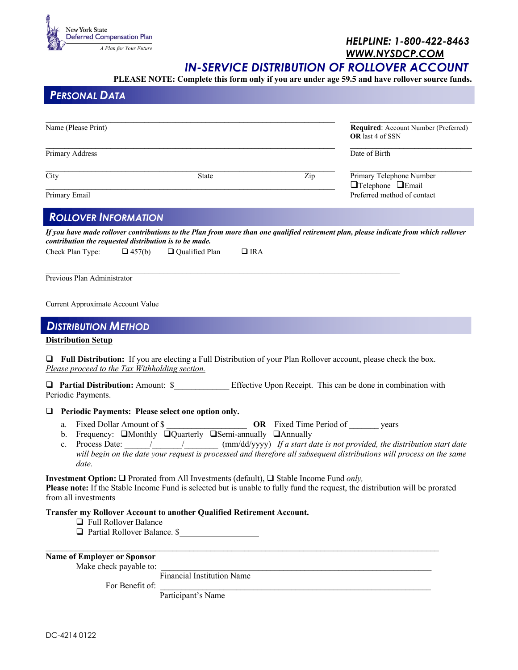

 *HELPLINE: 1-800-422-8463 WWW.NYSDCP.COM*

# *IN-SERVICE DISTRIBUTION OF ROLLOVER ACCOUNT*

**PLEASE NOTE: Complete this form only if you are under age 59.5 and have rollover source funds.** 

| <b>PERSONAL DATA</b>                                                                        |                                                                                                                        |                                      |                                                                                                                                                                                                                                                                                                                                                                                                                                                                                                                                                           |  |
|---------------------------------------------------------------------------------------------|------------------------------------------------------------------------------------------------------------------------|--------------------------------------|-----------------------------------------------------------------------------------------------------------------------------------------------------------------------------------------------------------------------------------------------------------------------------------------------------------------------------------------------------------------------------------------------------------------------------------------------------------------------------------------------------------------------------------------------------------|--|
| Name (Please Print)                                                                         |                                                                                                                        |                                      | Required: Account Number (Preferred)                                                                                                                                                                                                                                                                                                                                                                                                                                                                                                                      |  |
|                                                                                             |                                                                                                                        |                                      | <b>OR</b> last 4 of SSN                                                                                                                                                                                                                                                                                                                                                                                                                                                                                                                                   |  |
| Primary Address                                                                             |                                                                                                                        |                                      | Date of Birth                                                                                                                                                                                                                                                                                                                                                                                                                                                                                                                                             |  |
| City                                                                                        | State                                                                                                                  | Zip                                  | Primary Telephone Number<br>$\Box$ Telephone $\Box$ Email                                                                                                                                                                                                                                                                                                                                                                                                                                                                                                 |  |
| Primary Email                                                                               |                                                                                                                        |                                      | Preferred method of contact                                                                                                                                                                                                                                                                                                                                                                                                                                                                                                                               |  |
| <b>ROLLOVER INFORMATION</b>                                                                 |                                                                                                                        |                                      |                                                                                                                                                                                                                                                                                                                                                                                                                                                                                                                                                           |  |
| contribution the requested distribution is to be made.<br>Check Plan Type:<br>$\Box$ 457(b) | $\Box$ IRA<br>$\Box$ Qualified Plan                                                                                    |                                      | If you have made rollover contributions to the Plan from more than one qualified retirement plan, please indicate from which rollover                                                                                                                                                                                                                                                                                                                                                                                                                     |  |
| Previous Plan Administrator                                                                 |                                                                                                                        |                                      |                                                                                                                                                                                                                                                                                                                                                                                                                                                                                                                                                           |  |
| Current Approximate Account Value                                                           |                                                                                                                        |                                      |                                                                                                                                                                                                                                                                                                                                                                                                                                                                                                                                                           |  |
| <b>DISTRIBUTION METHOD</b>                                                                  |                                                                                                                        |                                      |                                                                                                                                                                                                                                                                                                                                                                                                                                                                                                                                                           |  |
| <b>Distribution Setup</b>                                                                   |                                                                                                                        |                                      |                                                                                                                                                                                                                                                                                                                                                                                                                                                                                                                                                           |  |
| Please proceed to the Tax Withholding section.                                              | $\Box$ Full Distribution: If you are electing a Full Distribution of your Plan Rollover account, please check the box. |                                      |                                                                                                                                                                                                                                                                                                                                                                                                                                                                                                                                                           |  |
| Periodic Payments.                                                                          | □ Partial Distribution: Amount: \$ Effective Upon Receipt. This can be done in combination with                        |                                      |                                                                                                                                                                                                                                                                                                                                                                                                                                                                                                                                                           |  |
| $\Box$                                                                                      | Periodic Payments: Please select one option only.                                                                      |                                      |                                                                                                                                                                                                                                                                                                                                                                                                                                                                                                                                                           |  |
| Fixed Dollar Amount of \$<br>a.<br>b.<br>Process Date:<br>c.<br>date.                       | Frequency: <b>OMonthly OQuarterly OSemi-annually OAnnually</b>                                                         | <b>OR</b> Fixed Time Period of years | $\frac{1}{\sqrt{1-\frac{1}{\sqrt{1-\frac{1}{\sqrt{1-\frac{1}{\sqrt{1-\frac{1}{\sqrt{1-\frac{1}{\sqrt{1-\frac{1}{\sqrt{1-\frac{1}{\sqrt{1-\frac{1}{\sqrt{1-\frac{1}{\sqrt{1-\frac{1}{\sqrt{1-\frac{1}{\sqrt{1-\frac{1}{\sqrt{1-\frac{1}{\sqrt{1-\frac{1}{\sqrt{1-\frac{1}{\sqrt{1-\frac{1}{\sqrt{1-\frac{1}{\sqrt{1-\frac{1}{\sqrt{1-\frac{1}{\sqrt{1-\frac{1}{\sqrt{1-\frac{1}{\sqrt{1-\frac{1}{\sqrt{1-\frac{1}{\sqrt{1-\frac{1$<br>will begin on the date your request is processed and therefore all subsequent distributions will process on the same |  |
| from all investments                                                                        | <b>Investment Option:</b> $\Box$ Prorated from All Investments (default), $\Box$ Stable Income Fund <i>only</i> ,      |                                      | Please note: If the Stable Income Fund is selected but is unable to fully fund the request, the distribution will be prorated                                                                                                                                                                                                                                                                                                                                                                                                                             |  |
| Full Rollover Balance                                                                       | Transfer my Rollover Account to another Qualified Retirement Account.<br>□ Partial Rollover Balance. \$                |                                      |                                                                                                                                                                                                                                                                                                                                                                                                                                                                                                                                                           |  |
| <b>Name of Employer or Sponsor</b>                                                          |                                                                                                                        |                                      |                                                                                                                                                                                                                                                                                                                                                                                                                                                                                                                                                           |  |
| Make check payable to:                                                                      | Financial Institution Name                                                                                             |                                      |                                                                                                                                                                                                                                                                                                                                                                                                                                                                                                                                                           |  |
| For Benefit of:                                                                             |                                                                                                                        |                                      |                                                                                                                                                                                                                                                                                                                                                                                                                                                                                                                                                           |  |

Participant's Name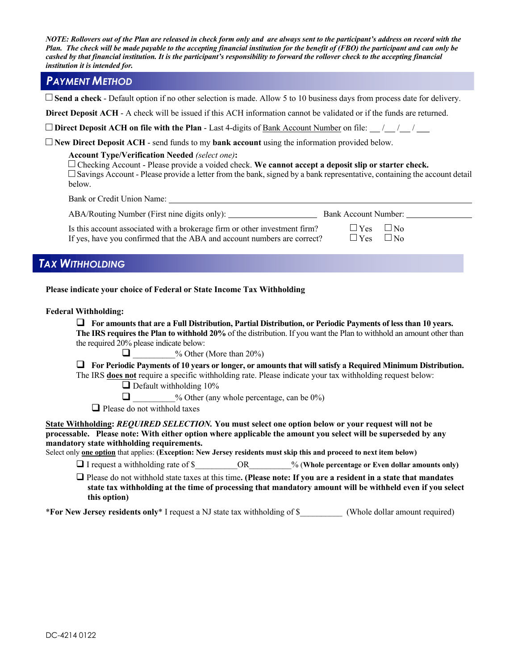*NOTE: Rollovers out of the Plan are released in check form only and are always sent to the participant's address on record with the Plan. The check will be made payable to the accepting financial institution for the benefit of (FBO) the participant and can only be cashed by that financial institution. It is the participant's responsibility to forward the rollover check to the accepting financial institution it is intended for.*

### *PAYMENT METHOD*

 $\Box$  **Send a check** - Default option if no other selection is made. Allow 5 to 10 business days from process date for delivery.

**Direct Deposit ACH** - A check will be issued if this ACH information cannot be validated or if the funds are returned.

c **Direct Deposit ACH on file with the Plan** - Last 4-digits of Bank Account Number on file: / / / \_\_\_

 $\Box$  **New Direct Deposit ACH** - send funds to my **bank account** using the information provided below.

#### **Account Type/Verification Needed** *(select one)***:**

 $\Box$  Checking Account - Please provide a voided check. We cannot accept a deposit slip or starter check.  $\square$  Savings Account - Please provide a letter from the bank, signed by a bank representative, containing the account detail below.

Bank or Credit Union Name:

| ABA/Routing Number (First nine digits only):                                                                                                           | Bank Account Number:                         |  |
|--------------------------------------------------------------------------------------------------------------------------------------------------------|----------------------------------------------|--|
| Is this account associated with a brokerage firm or other investment firm?<br>If yes, have you confirmed that the ABA and account numbers are correct? | $\Box$ Yes $\Box$ No<br>$\Box$ Yes $\Box$ No |  |

## *TAX WITHHOLDING*

**Please indicate your choice of Federal or State Income Tax Withholding**

### **Federal Withholding:**

 $\Box$  For amounts that are a Full Distribution, Partial Distribution, or Periodic Payments of less than 10 years.

**The IRS requires the Plan to withhold 20%** of the distribution. If you want the Plan to withhold an amount other than the required 20% please indicate below:

 $\Box$  % Other (More than 20%)

 $\Box$  For Periodic Payments of 10 years or longer, or amounts that will satisfy a Required Minimum Distribution.

The IRS **does not** require a specific withholding rate. Please indicate your tax withholding request below:  $\Box$  Default withholding 10%

 $\Box$  % Other (any whole percentage, can be 0%)

 $\Box$  Please do not withhold taxes

**State Withholding:** *REQUIRED SELECTION.* **You must select one option below or your request will not be processable. Please note: With either option where applicable the amount you select will be superseded by any mandatory state withholding requirements.**

Select only **one option** that applies: **(Exception: New Jersey residents must skip this and proceed to next item below)**

 $\Box$  I request a withholding rate of \$  $\Box$  OR  $\degree$  % (Whole percentage or Even dollar amounts only)

 $\Box$  Please do not withhold state taxes at this time. (Please note: If **you are a resident in a state that mandates state tax withholding at the time of processing that mandatory amount will be withheld even if you select this option)**

\***For New Jersey residents only**\* I request a NJ state tax withholding of \$\_\_\_\_\_\_\_\_\_\_ (Whole dollar amount required)